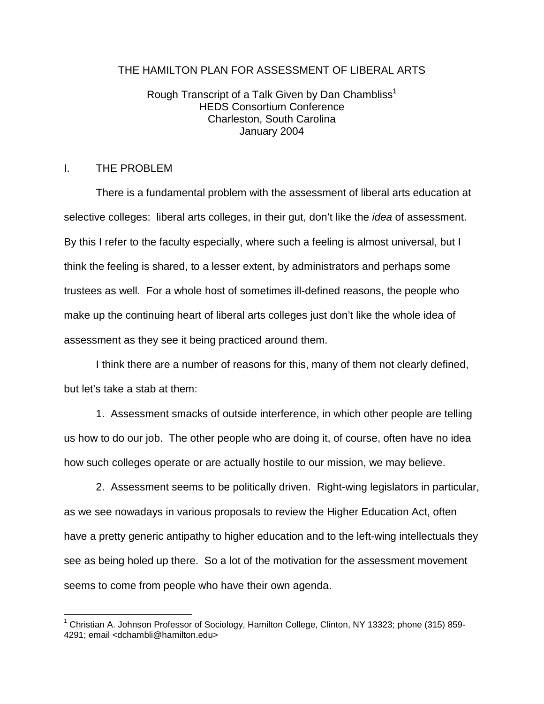### THE HAMILTON PLAN FOR ASSESSMENT OF LIBERAL ARTS

# Rough Transcript of a Talk Given by Dan Chambliss<sup>1</sup> HEDS Consortium Conference Charleston, South Carolina January 2004

# I. THE PROBLEM

1

 There is a fundamental problem with the assessment of liberal arts education at selective colleges: liberal arts colleges, in their gut, don't like the *idea* of assessment. By this I refer to the faculty especially, where such a feeling is almost universal, but I think the feeling is shared, to a lesser extent, by administrators and perhaps some trustees as well. For a whole host of sometimes ill-defined reasons, the people who make up the continuing heart of liberal arts colleges just don't like the whole idea of assessment as they see it being practiced around them.

 I think there are a number of reasons for this, many of them not clearly defined, but let's take a stab at them:

 1. Assessment smacks of outside interference, in which other people are telling us how to do our job. The other people who are doing it, of course, often have no idea how such colleges operate or are actually hostile to our mission, we may believe.

 2. Assessment seems to be politically driven. Right-wing legislators in particular, as we see nowadays in various proposals to review the Higher Education Act, often have a pretty generic antipathy to higher education and to the left-wing intellectuals they see as being holed up there. So a lot of the motivation for the assessment movement seems to come from people who have their own agenda.

<sup>&</sup>lt;sup>1</sup> Christian A. Johnson Professor of Sociology, Hamilton College, Clinton, NY 13323; phone (315) 859-4291; email <dchambli@hamilton.edu>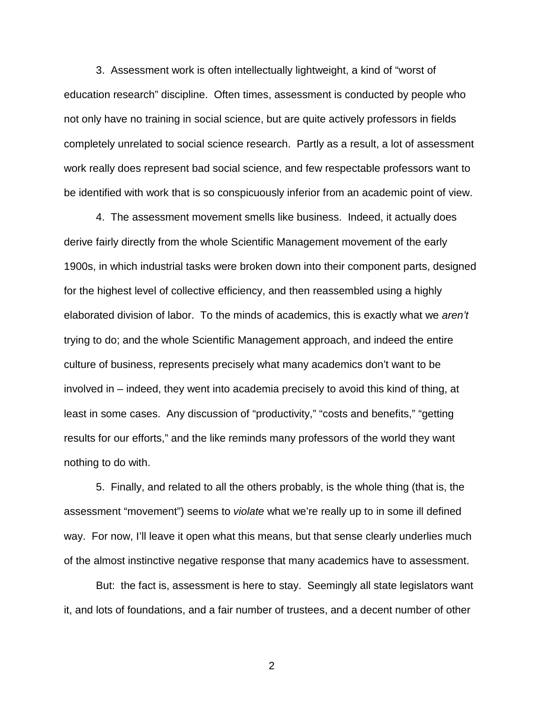3. Assessment work is often intellectually lightweight, a kind of "worst of education research" discipline. Often times, assessment is conducted by people who not only have no training in social science, but are quite actively professors in fields completely unrelated to social science research. Partly as a result, a lot of assessment work really does represent bad social science, and few respectable professors want to be identified with work that is so conspicuously inferior from an academic point of view.

4. The assessment movement smells like business. Indeed, it actually does derive fairly directly from the whole Scientific Management movement of the early 1900s, in which industrial tasks were broken down into their component parts, designed for the highest level of collective efficiency, and then reassembled using a highly elaborated division of labor. To the minds of academics, this is exactly what we aren't trying to do; and the whole Scientific Management approach, and indeed the entire culture of business, represents precisely what many academics don't want to be involved in – indeed, they went into academia precisely to avoid this kind of thing, at least in some cases. Any discussion of "productivity," "costs and benefits," "getting results for our efforts," and the like reminds many professors of the world they want nothing to do with.

5. Finally, and related to all the others probably, is the whole thing (that is, the assessment "movement") seems to violate what we're really up to in some ill defined way. For now, I'll leave it open what this means, but that sense clearly underlies much of the almost instinctive negative response that many academics have to assessment.

But: the fact is, assessment is here to stay. Seemingly all state legislators want it, and lots of foundations, and a fair number of trustees, and a decent number of other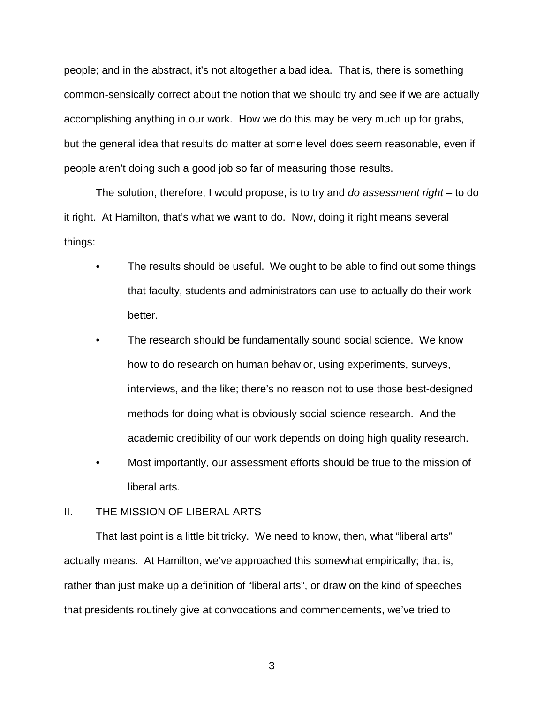people; and in the abstract, it's not altogether a bad idea. That is, there is something common-sensically correct about the notion that we should try and see if we are actually accomplishing anything in our work. How we do this may be very much up for grabs, but the general idea that results do matter at some level does seem reasonable, even if people aren't doing such a good job so far of measuring those results.

The solution, therefore, I would propose, is to try and do assessment right – to do it right. At Hamilton, that's what we want to do. Now, doing it right means several things:

- The results should be useful. We ought to be able to find out some things that faculty, students and administrators can use to actually do their work better.
- The research should be fundamentally sound social science. We know how to do research on human behavior, using experiments, surveys, interviews, and the like; there's no reason not to use those best-designed methods for doing what is obviously social science research. And the academic credibility of our work depends on doing high quality research.
- Most importantly, our assessment efforts should be true to the mission of liberal arts.

### II. THE MISSION OF LIBERAL ARTS

 That last point is a little bit tricky. We need to know, then, what "liberal arts" actually means. At Hamilton, we've approached this somewhat empirically; that is, rather than just make up a definition of "liberal arts", or draw on the kind of speeches that presidents routinely give at convocations and commencements, we've tried to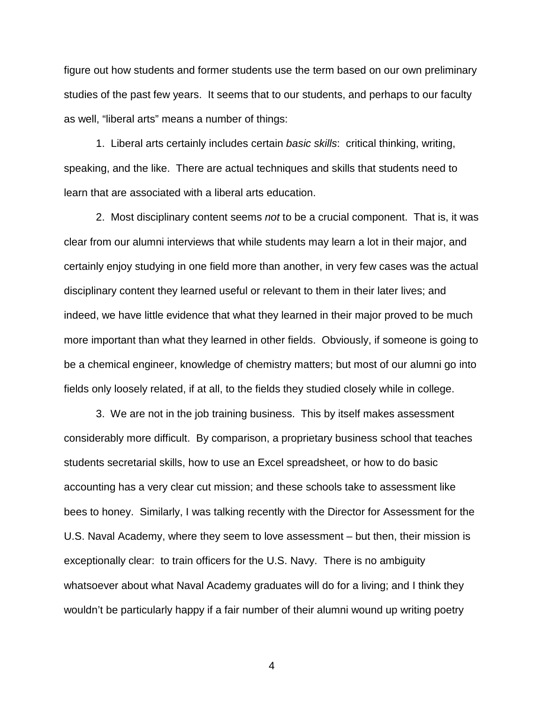figure out how students and former students use the term based on our own preliminary studies of the past few years. It seems that to our students, and perhaps to our faculty as well, "liberal arts" means a number of things:

 1. Liberal arts certainly includes certain basic skills: critical thinking, writing, speaking, and the like. There are actual techniques and skills that students need to learn that are associated with a liberal arts education.

2. Most disciplinary content seems not to be a crucial component. That is, it was clear from our alumni interviews that while students may learn a lot in their major, and certainly enjoy studying in one field more than another, in very few cases was the actual disciplinary content they learned useful or relevant to them in their later lives; and indeed, we have little evidence that what they learned in their major proved to be much more important than what they learned in other fields. Obviously, if someone is going to be a chemical engineer, knowledge of chemistry matters; but most of our alumni go into fields only loosely related, if at all, to the fields they studied closely while in college.

 3. We are not in the job training business. This by itself makes assessment considerably more difficult. By comparison, a proprietary business school that teaches students secretarial skills, how to use an Excel spreadsheet, or how to do basic accounting has a very clear cut mission; and these schools take to assessment like bees to honey. Similarly, I was talking recently with the Director for Assessment for the U.S. Naval Academy, where they seem to love assessment – but then, their mission is exceptionally clear: to train officers for the U.S. Navy. There is no ambiguity whatsoever about what Naval Academy graduates will do for a living; and I think they wouldn't be particularly happy if a fair number of their alumni wound up writing poetry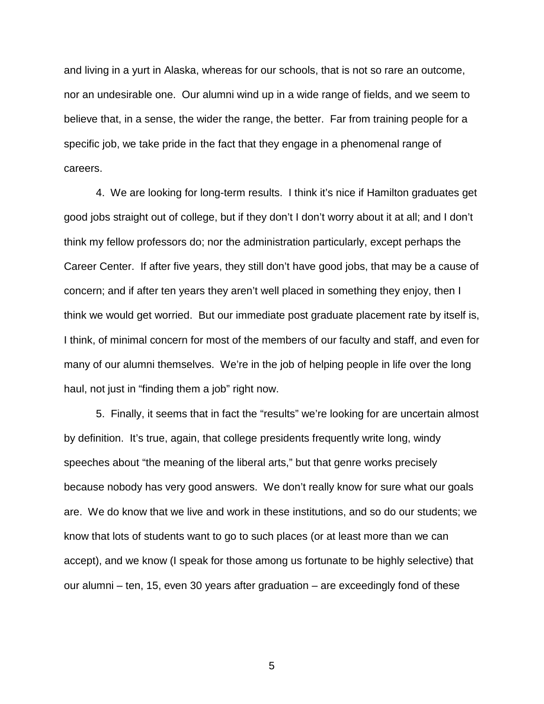and living in a yurt in Alaska, whereas for our schools, that is not so rare an outcome, nor an undesirable one. Our alumni wind up in a wide range of fields, and we seem to believe that, in a sense, the wider the range, the better. Far from training people for a specific job, we take pride in the fact that they engage in a phenomenal range of careers.

 4. We are looking for long-term results. I think it's nice if Hamilton graduates get good jobs straight out of college, but if they don't I don't worry about it at all; and I don't think my fellow professors do; nor the administration particularly, except perhaps the Career Center. If after five years, they still don't have good jobs, that may be a cause of concern; and if after ten years they aren't well placed in something they enjoy, then I think we would get worried. But our immediate post graduate placement rate by itself is, I think, of minimal concern for most of the members of our faculty and staff, and even for many of our alumni themselves. We're in the job of helping people in life over the long haul, not just in "finding them a job" right now.

 5. Finally, it seems that in fact the "results" we're looking for are uncertain almost by definition. It's true, again, that college presidents frequently write long, windy speeches about "the meaning of the liberal arts," but that genre works precisely because nobody has very good answers. We don't really know for sure what our goals are. We do know that we live and work in these institutions, and so do our students; we know that lots of students want to go to such places (or at least more than we can accept), and we know (I speak for those among us fortunate to be highly selective) that our alumni – ten, 15, even 30 years after graduation – are exceedingly fond of these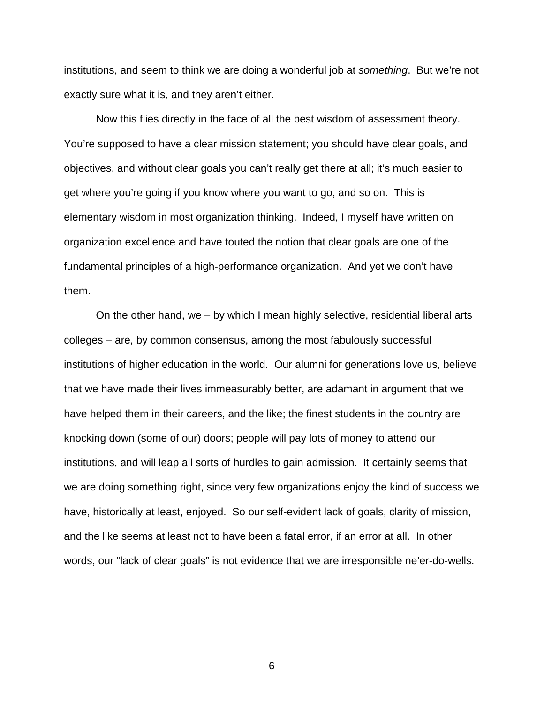institutions, and seem to think we are doing a wonderful job at *something*. But we're not exactly sure what it is, and they aren't either.

 Now this flies directly in the face of all the best wisdom of assessment theory. You're supposed to have a clear mission statement; you should have clear goals, and objectives, and without clear goals you can't really get there at all; it's much easier to get where you're going if you know where you want to go, and so on. This is elementary wisdom in most organization thinking. Indeed, I myself have written on organization excellence and have touted the notion that clear goals are one of the fundamental principles of a high-performance organization. And yet we don't have them.

 On the other hand, we – by which I mean highly selective, residential liberal arts colleges – are, by common consensus, among the most fabulously successful institutions of higher education in the world. Our alumni for generations love us, believe that we have made their lives immeasurably better, are adamant in argument that we have helped them in their careers, and the like; the finest students in the country are knocking down (some of our) doors; people will pay lots of money to attend our institutions, and will leap all sorts of hurdles to gain admission. It certainly seems that we are doing something right, since very few organizations enjoy the kind of success we have, historically at least, enjoyed. So our self-evident lack of goals, clarity of mission, and the like seems at least not to have been a fatal error, if an error at all. In other words, our "lack of clear goals" is not evidence that we are irresponsible ne'er-do-wells.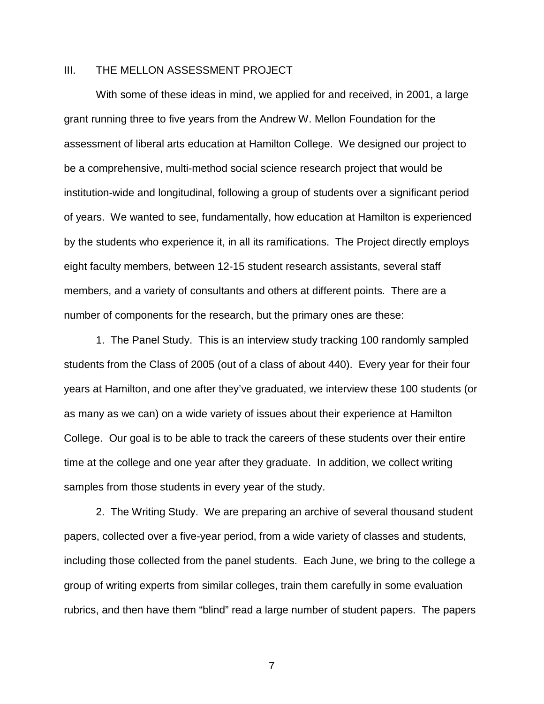#### III. THE MELLON ASSESSMENT PROJECT

 With some of these ideas in mind, we applied for and received, in 2001, a large grant running three to five years from the Andrew W. Mellon Foundation for the assessment of liberal arts education at Hamilton College. We designed our project to be a comprehensive, multi-method social science research project that would be institution-wide and longitudinal, following a group of students over a significant period of years. We wanted to see, fundamentally, how education at Hamilton is experienced by the students who experience it, in all its ramifications. The Project directly employs eight faculty members, between 12-15 student research assistants, several staff members, and a variety of consultants and others at different points. There are a number of components for the research, but the primary ones are these:

 1. The Panel Study. This is an interview study tracking 100 randomly sampled students from the Class of 2005 (out of a class of about 440). Every year for their four years at Hamilton, and one after they've graduated, we interview these 100 students (or as many as we can) on a wide variety of issues about their experience at Hamilton College. Our goal is to be able to track the careers of these students over their entire time at the college and one year after they graduate. In addition, we collect writing samples from those students in every year of the study.

 2. The Writing Study. We are preparing an archive of several thousand student papers, collected over a five-year period, from a wide variety of classes and students, including those collected from the panel students. Each June, we bring to the college a group of writing experts from similar colleges, train them carefully in some evaluation rubrics, and then have them "blind" read a large number of student papers. The papers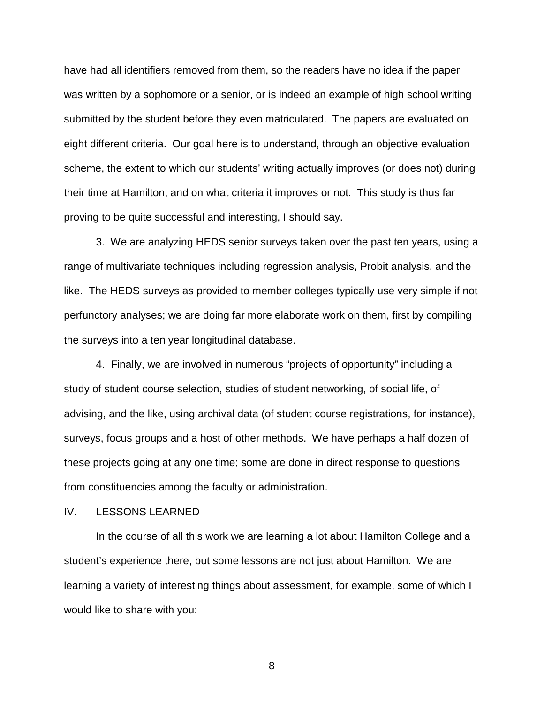have had all identifiers removed from them, so the readers have no idea if the paper was written by a sophomore or a senior, or is indeed an example of high school writing submitted by the student before they even matriculated. The papers are evaluated on eight different criteria. Our goal here is to understand, through an objective evaluation scheme, the extent to which our students' writing actually improves (or does not) during their time at Hamilton, and on what criteria it improves or not. This study is thus far proving to be quite successful and interesting, I should say.

 3. We are analyzing HEDS senior surveys taken over the past ten years, using a range of multivariate techniques including regression analysis, Probit analysis, and the like. The HEDS surveys as provided to member colleges typically use very simple if not perfunctory analyses; we are doing far more elaborate work on them, first by compiling the surveys into a ten year longitudinal database.

 4. Finally, we are involved in numerous "projects of opportunity" including a study of student course selection, studies of student networking, of social life, of advising, and the like, using archival data (of student course registrations, for instance), surveys, focus groups and a host of other methods. We have perhaps a half dozen of these projects going at any one time; some are done in direct response to questions from constituencies among the faculty or administration.

#### IV. LESSONS LEARNED

 In the course of all this work we are learning a lot about Hamilton College and a student's experience there, but some lessons are not just about Hamilton. We are learning a variety of interesting things about assessment, for example, some of which I would like to share with you: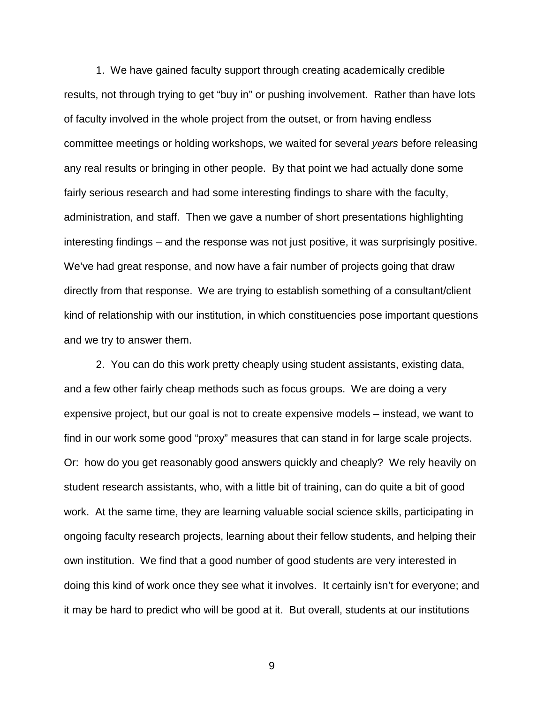1. We have gained faculty support through creating academically credible results, not through trying to get "buy in" or pushing involvement. Rather than have lots of faculty involved in the whole project from the outset, or from having endless committee meetings or holding workshops, we waited for several years before releasing any real results or bringing in other people. By that point we had actually done some fairly serious research and had some interesting findings to share with the faculty, administration, and staff. Then we gave a number of short presentations highlighting interesting findings – and the response was not just positive, it was surprisingly positive. We've had great response, and now have a fair number of projects going that draw directly from that response. We are trying to establish something of a consultant/client kind of relationship with our institution, in which constituencies pose important questions and we try to answer them.

 2. You can do this work pretty cheaply using student assistants, existing data, and a few other fairly cheap methods such as focus groups. We are doing a very expensive project, but our goal is not to create expensive models – instead, we want to find in our work some good "proxy" measures that can stand in for large scale projects. Or: how do you get reasonably good answers quickly and cheaply? We rely heavily on student research assistants, who, with a little bit of training, can do quite a bit of good work. At the same time, they are learning valuable social science skills, participating in ongoing faculty research projects, learning about their fellow students, and helping their own institution. We find that a good number of good students are very interested in doing this kind of work once they see what it involves. It certainly isn't for everyone; and it may be hard to predict who will be good at it. But overall, students at our institutions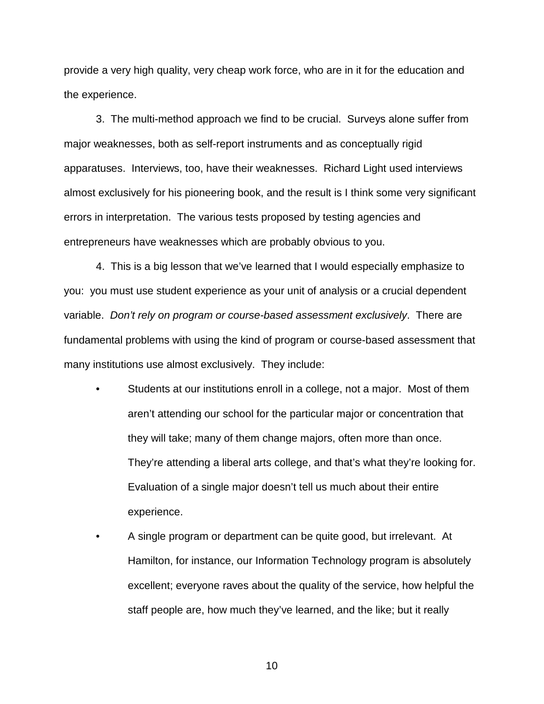provide a very high quality, very cheap work force, who are in it for the education and the experience.

 3. The multi-method approach we find to be crucial. Surveys alone suffer from major weaknesses, both as self-report instruments and as conceptually rigid apparatuses. Interviews, too, have their weaknesses. Richard Light used interviews almost exclusively for his pioneering book, and the result is I think some very significant errors in interpretation. The various tests proposed by testing agencies and entrepreneurs have weaknesses which are probably obvious to you.

 4. This is a big lesson that we've learned that I would especially emphasize to you: you must use student experience as your unit of analysis or a crucial dependent variable. Don't rely on program or course-based assessment exclusively. There are fundamental problems with using the kind of program or course-based assessment that many institutions use almost exclusively. They include:

- Students at our institutions enroll in a college, not a major. Most of them aren't attending our school for the particular major or concentration that they will take; many of them change majors, often more than once. They're attending a liberal arts college, and that's what they're looking for. Evaluation of a single major doesn't tell us much about their entire experience.
- A single program or department can be quite good, but irrelevant. At Hamilton, for instance, our Information Technology program is absolutely excellent; everyone raves about the quality of the service, how helpful the staff people are, how much they've learned, and the like; but it really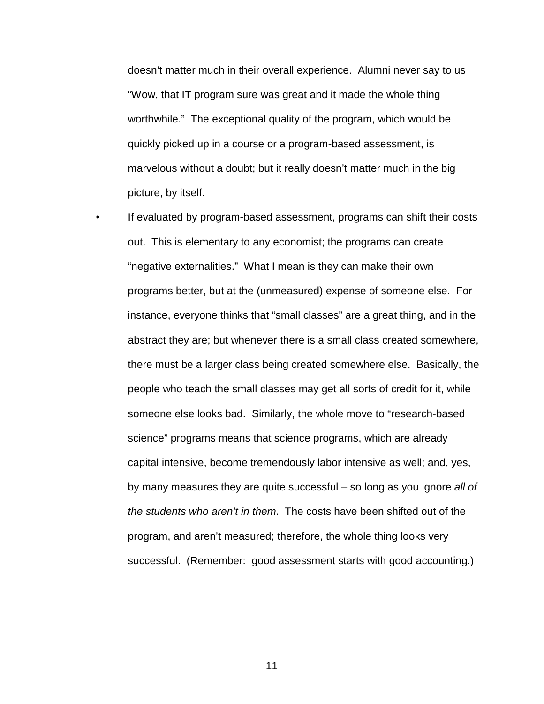doesn't matter much in their overall experience. Alumni never say to us "Wow, that IT program sure was great and it made the whole thing worthwhile." The exceptional quality of the program, which would be quickly picked up in a course or a program-based assessment, is marvelous without a doubt; but it really doesn't matter much in the big picture, by itself.

 • If evaluated by program-based assessment, programs can shift their costs out. This is elementary to any economist; the programs can create "negative externalities." What I mean is they can make their own programs better, but at the (unmeasured) expense of someone else. For instance, everyone thinks that "small classes" are a great thing, and in the abstract they are; but whenever there is a small class created somewhere, there must be a larger class being created somewhere else. Basically, the people who teach the small classes may get all sorts of credit for it, while someone else looks bad. Similarly, the whole move to "research-based science" programs means that science programs, which are already capital intensive, become tremendously labor intensive as well; and, yes, by many measures they are quite successful – so long as you ignore all of the students who aren't in them. The costs have been shifted out of the program, and aren't measured; therefore, the whole thing looks very successful. (Remember: good assessment starts with good accounting.)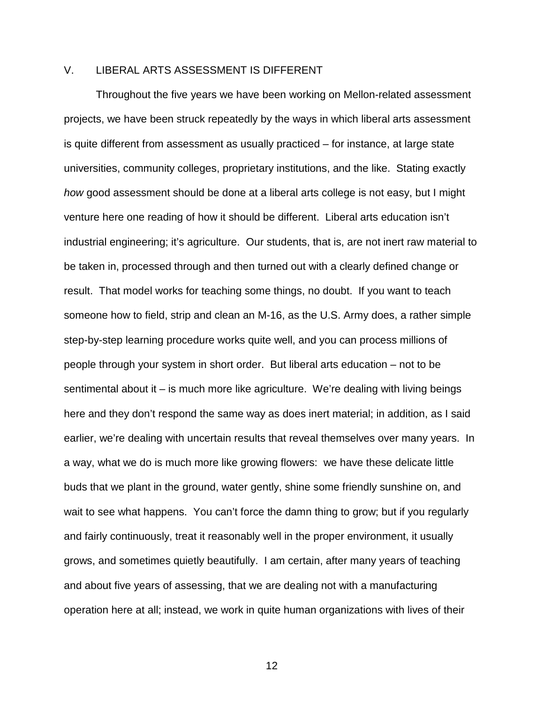# V. LIBERAL ARTS ASSESSMENT IS DIFFERENT

 Throughout the five years we have been working on Mellon-related assessment projects, we have been struck repeatedly by the ways in which liberal arts assessment is quite different from assessment as usually practiced – for instance, at large state universities, community colleges, proprietary institutions, and the like. Stating exactly how good assessment should be done at a liberal arts college is not easy, but I might venture here one reading of how it should be different. Liberal arts education isn't industrial engineering; it's agriculture. Our students, that is, are not inert raw material to be taken in, processed through and then turned out with a clearly defined change or result. That model works for teaching some things, no doubt. If you want to teach someone how to field, strip and clean an M-16, as the U.S. Army does, a rather simple step-by-step learning procedure works quite well, and you can process millions of people through your system in short order. But liberal arts education – not to be sentimental about it – is much more like agriculture. We're dealing with living beings here and they don't respond the same way as does inert material; in addition, as I said earlier, we're dealing with uncertain results that reveal themselves over many years. In a way, what we do is much more like growing flowers: we have these delicate little buds that we plant in the ground, water gently, shine some friendly sunshine on, and wait to see what happens. You can't force the damn thing to grow; but if you regularly and fairly continuously, treat it reasonably well in the proper environment, it usually grows, and sometimes quietly beautifully. I am certain, after many years of teaching and about five years of assessing, that we are dealing not with a manufacturing operation here at all; instead, we work in quite human organizations with lives of their